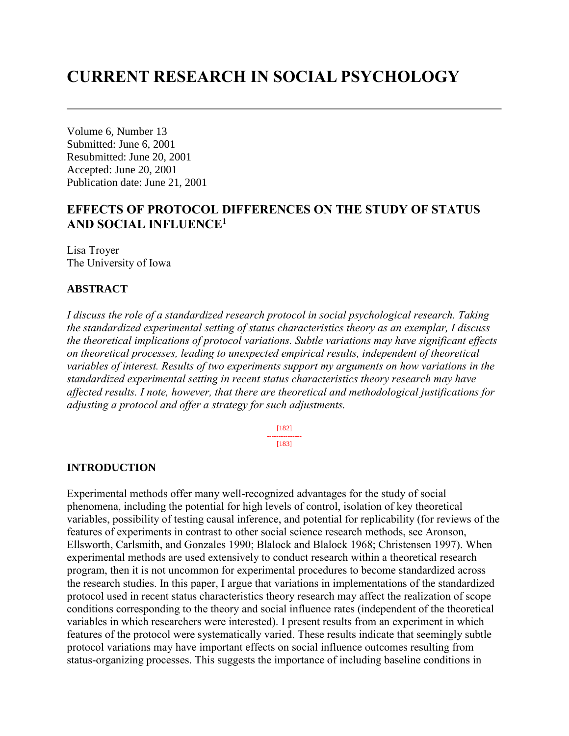# **CURRENT RESEARCH IN SOCIAL PSYCHOLOGY**

Volume 6, Number 13 Submitted: June 6, 2001 Resubmitted: June 20, 2001 Accepted: June 20, 2001 Publication date: June 21, 2001

# **EFFECTS OF PROTOCOL DIFFERENCES ON THE STUDY OF STATUS AND SOCIAL INFLUENCE<sup>1</sup>**

Lisa Troyer The University of Iowa

### **ABSTRACT**

*I discuss the role of a standardized research protocol in social psychological research. Taking the standardized experimental setting of status characteristics theory as an exemplar, I discuss the theoretical implications of protocol variations. Subtle variations may have significant effects on theoretical processes, leading to unexpected empirical results, independent of theoretical variables of interest. Results of two experiments support my arguments on how variations in the standardized experimental setting in recent status characteristics theory research may have affected results. I note, however, that there are theoretical and methodological justifications for adjusting a protocol and offer a strategy for such adjustments.*

> [182] --------------- [183]

### **INTRODUCTION**

Experimental methods offer many well-recognized advantages for the study of social phenomena, including the potential for high levels of control, isolation of key theoretical variables, possibility of testing causal inference, and potential for replicability (for reviews of the features of experiments in contrast to other social science research methods, see Aronson, Ellsworth, Carlsmith, and Gonzales 1990; Blalock and Blalock 1968; Christensen 1997). When experimental methods are used extensively to conduct research within a theoretical research program, then it is not uncommon for experimental procedures to become standardized across the research studies. In this paper, I argue that variations in implementations of the standardized protocol used in recent status characteristics theory research may affect the realization of scope conditions corresponding to the theory and social influence rates (independent of the theoretical variables in which researchers were interested). I present results from an experiment in which features of the protocol were systematically varied. These results indicate that seemingly subtle protocol variations may have important effects on social influence outcomes resulting from status-organizing processes. This suggests the importance of including baseline conditions in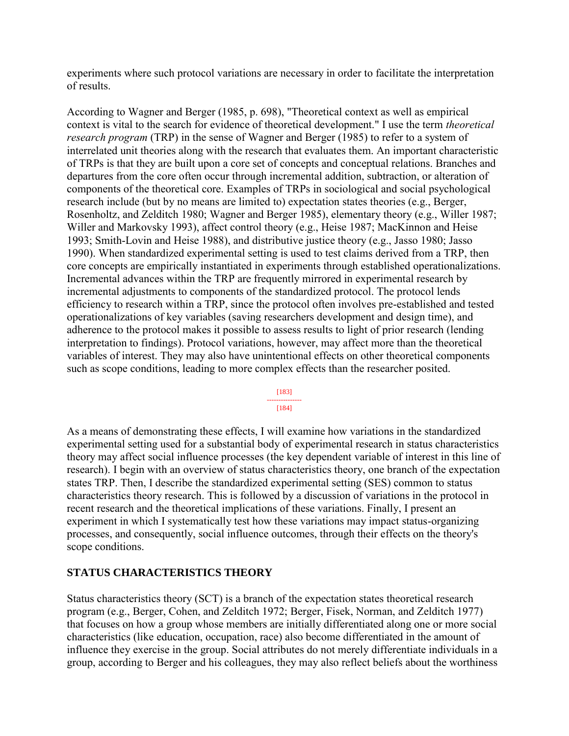experiments where such protocol variations are necessary in order to facilitate the interpretation of results.

According to Wagner and Berger (1985, p. 698), "Theoretical context as well as empirical context is vital to the search for evidence of theoretical development." I use the term *theoretical research program* (TRP) in the sense of Wagner and Berger (1985) to refer to a system of interrelated unit theories along with the research that evaluates them. An important characteristic of TRPs is that they are built upon a core set of concepts and conceptual relations. Branches and departures from the core often occur through incremental addition, subtraction, or alteration of components of the theoretical core. Examples of TRPs in sociological and social psychological research include (but by no means are limited to) expectation states theories (e.g., Berger, Rosenholtz, and Zelditch 1980; Wagner and Berger 1985), elementary theory (e.g., Willer 1987; Willer and Markovsky 1993), affect control theory (e.g., Heise 1987; MacKinnon and Heise 1993; Smith-Lovin and Heise 1988), and distributive justice theory (e.g., Jasso 1980; Jasso 1990). When standardized experimental setting is used to test claims derived from a TRP, then core concepts are empirically instantiated in experiments through established operationalizations. Incremental advances within the TRP are frequently mirrored in experimental research by incremental adjustments to components of the standardized protocol. The protocol lends efficiency to research within a TRP, since the protocol often involves pre-established and tested operationalizations of key variables (saving researchers development and design time), and adherence to the protocol makes it possible to assess results to light of prior research (lending interpretation to findings). Protocol variations, however, may affect more than the theoretical variables of interest. They may also have unintentional effects on other theoretical components such as scope conditions, leading to more complex effects than the researcher posited.

#### [183] --------------- [184]

As a means of demonstrating these effects, I will examine how variations in the standardized experimental setting used for a substantial body of experimental research in status characteristics theory may affect social influence processes (the key dependent variable of interest in this line of research). I begin with an overview of status characteristics theory, one branch of the expectation states TRP. Then, I describe the standardized experimental setting (SES) common to status characteristics theory research. This is followed by a discussion of variations in the protocol in recent research and the theoretical implications of these variations. Finally, I present an experiment in which I systematically test how these variations may impact status-organizing processes, and consequently, social influence outcomes, through their effects on the theory's scope conditions.

# **STATUS CHARACTERISTICS THEORY**

Status characteristics theory (SCT) is a branch of the expectation states theoretical research program (e.g., Berger, Cohen, and Zelditch 1972; Berger, Fisek, Norman, and Zelditch 1977) that focuses on how a group whose members are initially differentiated along one or more social characteristics (like education, occupation, race) also become differentiated in the amount of influence they exercise in the group. Social attributes do not merely differentiate individuals in a group, according to Berger and his colleagues, they may also reflect beliefs about the worthiness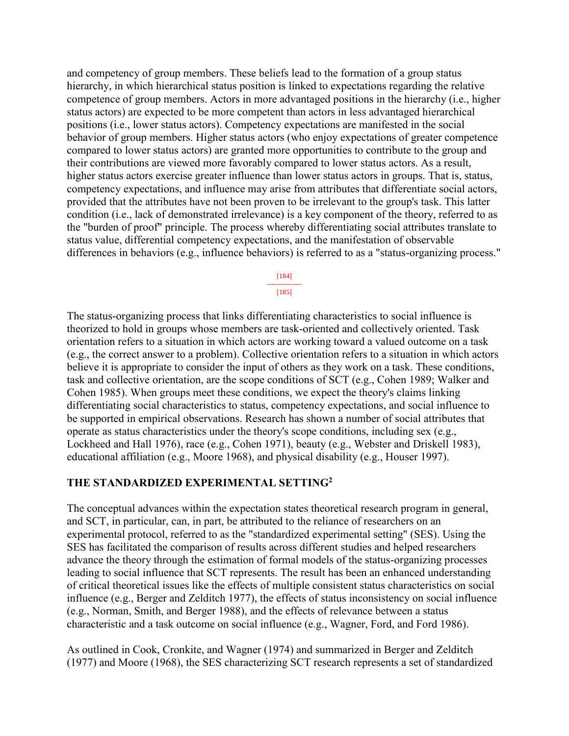and competency of group members. These beliefs lead to the formation of a group status hierarchy, in which hierarchical status position is linked to expectations regarding the relative competence of group members. Actors in more advantaged positions in the hierarchy (i.e., higher status actors) are expected to be more competent than actors in less advantaged hierarchical positions (i.e., lower status actors). Competency expectations are manifested in the social behavior of group members. Higher status actors (who enjoy expectations of greater competence compared to lower status actors) are granted more opportunities to contribute to the group and their contributions are viewed more favorably compared to lower status actors. As a result, higher status actors exercise greater influence than lower status actors in groups. That is, status, competency expectations, and influence may arise from attributes that differentiate social actors, provided that the attributes have not been proven to be irrelevant to the group's task. This latter condition (i.e., lack of demonstrated irrelevance) is a key component of the theory, referred to as the "burden of proof" principle. The process whereby differentiating social attributes translate to status value, differential competency expectations, and the manifestation of observable differences in behaviors (e.g., influence behaviors) is referred to as a "status-organizing process."

> [184] --------------- [185]

The status-organizing process that links differentiating characteristics to social influence is theorized to hold in groups whose members are task-oriented and collectively oriented. Task orientation refers to a situation in which actors are working toward a valued outcome on a task (e.g., the correct answer to a problem). Collective orientation refers to a situation in which actors believe it is appropriate to consider the input of others as they work on a task. These conditions, task and collective orientation, are the scope conditions of SCT (e.g., Cohen 1989; Walker and Cohen 1985). When groups meet these conditions, we expect the theory's claims linking differentiating social characteristics to status, competency expectations, and social influence to be supported in empirical observations. Research has shown a number of social attributes that operate as status characteristics under the theory's scope conditions, including sex (e.g., Lockheed and Hall 1976), race (e.g., Cohen 1971), beauty (e.g., Webster and Driskell 1983), educational affiliation (e.g., Moore 1968), and physical disability (e.g., Houser 1997).

### **THE STANDARDIZED EXPERIMENTAL SETTING<sup>2</sup>**

The conceptual advances within the expectation states theoretical research program in general, and SCT, in particular, can, in part, be attributed to the reliance of researchers on an experimental protocol, referred to as the "standardized experimental setting" (SES). Using the SES has facilitated the comparison of results across different studies and helped researchers advance the theory through the estimation of formal models of the status-organizing processes leading to social influence that SCT represents. The result has been an enhanced understanding of critical theoretical issues like the effects of multiple consistent status characteristics on social influence (e.g., Berger and Zelditch 1977), the effects of status inconsistency on social influence (e.g., Norman, Smith, and Berger 1988), and the effects of relevance between a status characteristic and a task outcome on social influence (e.g., Wagner, Ford, and Ford 1986).

As outlined in Cook, Cronkite, and Wagner (1974) and summarized in Berger and Zelditch (1977) and Moore (1968), the SES characterizing SCT research represents a set of standardized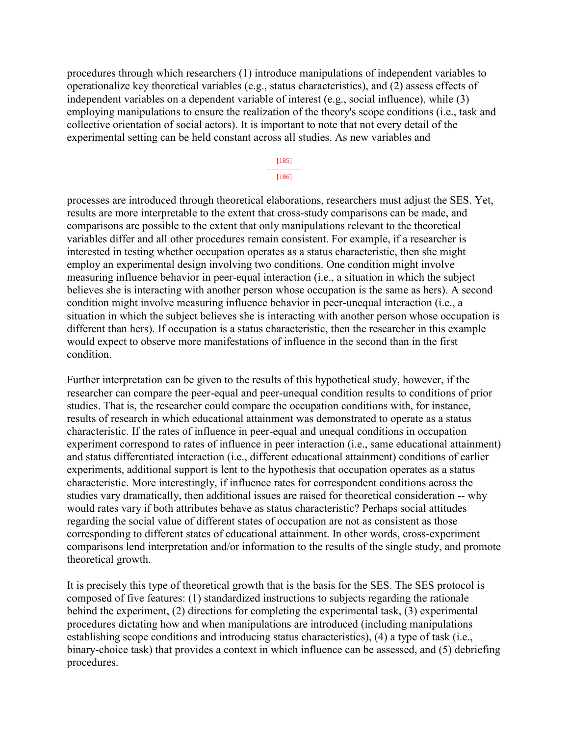procedures through which researchers (1) introduce manipulations of independent variables to operationalize key theoretical variables (e.g., status characteristics), and (2) assess effects of independent variables on a dependent variable of interest (e.g., social influence), while (3) employing manipulations to ensure the realization of the theory's scope conditions (i.e., task and collective orientation of social actors). It is important to note that not every detail of the experimental setting can be held constant across all studies. As new variables and

> [185] --------------- [186]

processes are introduced through theoretical elaborations, researchers must adjust the SES. Yet, results are more interpretable to the extent that cross-study comparisons can be made, and comparisons are possible to the extent that only manipulations relevant to the theoretical variables differ and all other procedures remain consistent. For example, if a researcher is interested in testing whether occupation operates as a status characteristic, then she might employ an experimental design involving two conditions. One condition might involve measuring influence behavior in peer-equal interaction (i.e., a situation in which the subject believes she is interacting with another person whose occupation is the same as hers). A second condition might involve measuring influence behavior in peer-unequal interaction (i.e., a situation in which the subject believes she is interacting with another person whose occupation is different than hers). If occupation is a status characteristic, then the researcher in this example would expect to observe more manifestations of influence in the second than in the first condition.

Further interpretation can be given to the results of this hypothetical study, however, if the researcher can compare the peer-equal and peer-unequal condition results to conditions of prior studies. That is, the researcher could compare the occupation conditions with, for instance, results of research in which educational attainment was demonstrated to operate as a status characteristic. If the rates of influence in peer-equal and unequal conditions in occupation experiment correspond to rates of influence in peer interaction (i.e., same educational attainment) and status differentiated interaction (i.e., different educational attainment) conditions of earlier experiments, additional support is lent to the hypothesis that occupation operates as a status characteristic. More interestingly, if influence rates for correspondent conditions across the studies vary dramatically, then additional issues are raised for theoretical consideration -- why would rates vary if both attributes behave as status characteristic? Perhaps social attitudes regarding the social value of different states of occupation are not as consistent as those corresponding to different states of educational attainment. In other words, cross-experiment comparisons lend interpretation and/or information to the results of the single study, and promote theoretical growth.

It is precisely this type of theoretical growth that is the basis for the SES. The SES protocol is composed of five features: (1) standardized instructions to subjects regarding the rationale behind the experiment, (2) directions for completing the experimental task, (3) experimental procedures dictating how and when manipulations are introduced (including manipulations establishing scope conditions and introducing status characteristics), (4) a type of task (i.e., binary-choice task) that provides a context in which influence can be assessed, and (5) debriefing procedures.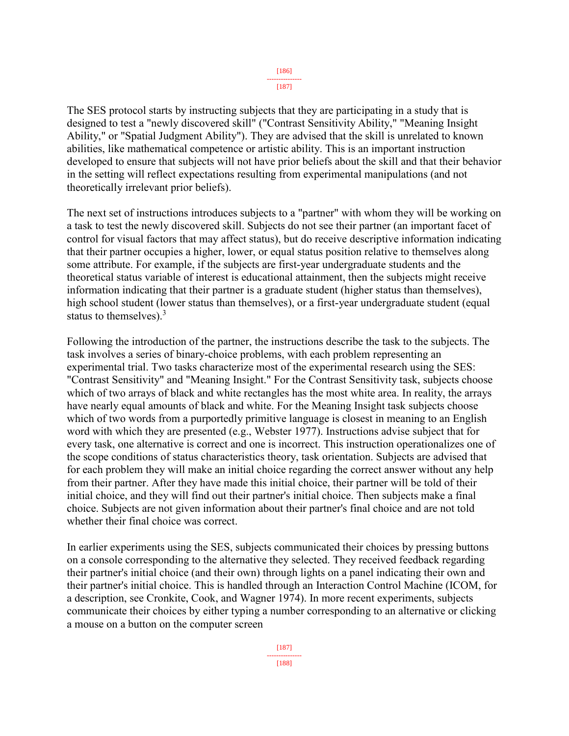#### [186] ---------------

[187]

The SES protocol starts by instructing subjects that they are participating in a study that is designed to test a "newly discovered skill" ("Contrast Sensitivity Ability," "Meaning Insight Ability," or "Spatial Judgment Ability"). They are advised that the skill is unrelated to known abilities, like mathematical competence or artistic ability. This is an important instruction developed to ensure that subjects will not have prior beliefs about the skill and that their behavior in the setting will reflect expectations resulting from experimental manipulations (and not theoretically irrelevant prior beliefs).

The next set of instructions introduces subjects to a "partner" with whom they will be working on a task to test the newly discovered skill. Subjects do not see their partner (an important facet of control for visual factors that may affect status), but do receive descriptive information indicating that their partner occupies a higher, lower, or equal status position relative to themselves along some attribute. For example, if the subjects are first-year undergraduate students and the theoretical status variable of interest is educational attainment, then the subjects might receive information indicating that their partner is a graduate student (higher status than themselves), high school student (lower status than themselves), or a first-year undergraduate student (equal status to themselves). $3$ 

Following the introduction of the partner, the instructions describe the task to the subjects. The task involves a series of binary-choice problems, with each problem representing an experimental trial. Two tasks characterize most of the experimental research using the SES: "Contrast Sensitivity" and "Meaning Insight." For the Contrast Sensitivity task, subjects choose which of two arrays of black and white rectangles has the most white area. In reality, the arrays have nearly equal amounts of black and white. For the Meaning Insight task subjects choose which of two words from a purportedly primitive language is closest in meaning to an English word with which they are presented (e.g., Webster 1977). Instructions advise subject that for every task, one alternative is correct and one is incorrect. This instruction operationalizes one of the scope conditions of status characteristics theory, task orientation. Subjects are advised that for each problem they will make an initial choice regarding the correct answer without any help from their partner. After they have made this initial choice, their partner will be told of their initial choice, and they will find out their partner's initial choice. Then subjects make a final choice. Subjects are not given information about their partner's final choice and are not told whether their final choice was correct.

In earlier experiments using the SES, subjects communicated their choices by pressing buttons on a console corresponding to the alternative they selected. They received feedback regarding their partner's initial choice (and their own) through lights on a panel indicating their own and their partner's initial choice. This is handled through an Interaction Control Machine (ICOM, for a description, see Cronkite, Cook, and Wagner 1974). In more recent experiments, subjects communicate their choices by either typing a number corresponding to an alternative or clicking a mouse on a button on the computer screen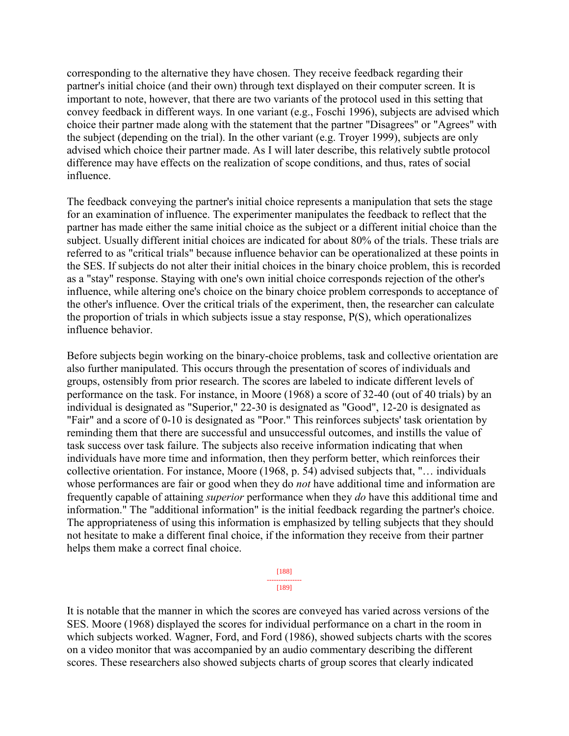corresponding to the alternative they have chosen. They receive feedback regarding their partner's initial choice (and their own) through text displayed on their computer screen. It is important to note, however, that there are two variants of the protocol used in this setting that convey feedback in different ways. In one variant (e.g., Foschi 1996), subjects are advised which choice their partner made along with the statement that the partner "Disagrees" or "Agrees" with the subject (depending on the trial). In the other variant (e.g. Troyer 1999), subjects are only advised which choice their partner made. As I will later describe, this relatively subtle protocol difference may have effects on the realization of scope conditions, and thus, rates of social influence.

The feedback conveying the partner's initial choice represents a manipulation that sets the stage for an examination of influence. The experimenter manipulates the feedback to reflect that the partner has made either the same initial choice as the subject or a different initial choice than the subject. Usually different initial choices are indicated for about 80% of the trials. These trials are referred to as "critical trials" because influence behavior can be operationalized at these points in the SES. If subjects do not alter their initial choices in the binary choice problem, this is recorded as a "stay" response. Staying with one's own initial choice corresponds rejection of the other's influence, while altering one's choice on the binary choice problem corresponds to acceptance of the other's influence. Over the critical trials of the experiment, then, the researcher can calculate the proportion of trials in which subjects issue a stay response, P(S), which operationalizes influence behavior.

Before subjects begin working on the binary-choice problems, task and collective orientation are also further manipulated. This occurs through the presentation of scores of individuals and groups, ostensibly from prior research. The scores are labeled to indicate different levels of performance on the task. For instance, in Moore (1968) a score of 32-40 (out of 40 trials) by an individual is designated as "Superior," 22-30 is designated as "Good", 12-20 is designated as "Fair" and a score of 0-10 is designated as "Poor." This reinforces subjects' task orientation by reminding them that there are successful and unsuccessful outcomes, and instills the value of task success over task failure. The subjects also receive information indicating that when individuals have more time and information, then they perform better, which reinforces their collective orientation. For instance, Moore (1968, p. 54) advised subjects that, "… individuals whose performances are fair or good when they do *not* have additional time and information are frequently capable of attaining *superior* performance when they *do* have this additional time and information." The "additional information" is the initial feedback regarding the partner's choice. The appropriateness of using this information is emphasized by telling subjects that they should not hesitate to make a different final choice, if the information they receive from their partner helps them make a correct final choice.

> [188] --------------- [189]

It is notable that the manner in which the scores are conveyed has varied across versions of the SES. Moore (1968) displayed the scores for individual performance on a chart in the room in which subjects worked. Wagner, Ford, and Ford (1986), showed subjects charts with the scores on a video monitor that was accompanied by an audio commentary describing the different scores. These researchers also showed subjects charts of group scores that clearly indicated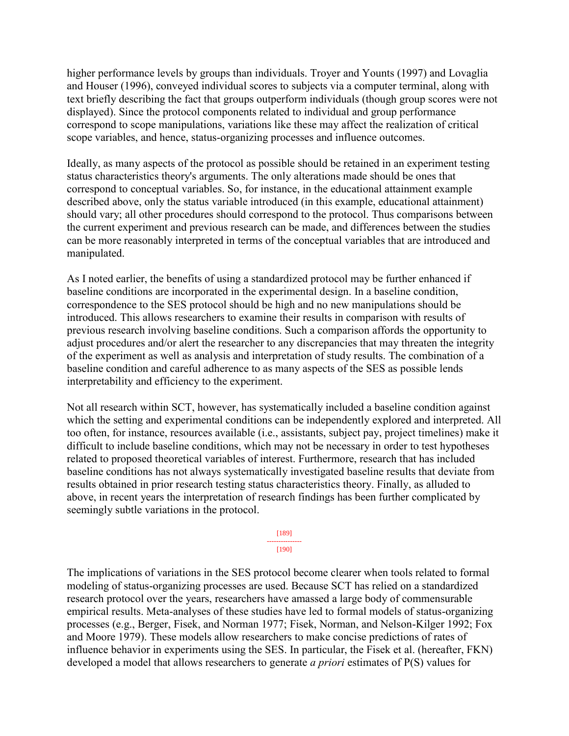higher performance levels by groups than individuals. Troyer and Younts (1997) and Lovaglia and Houser (1996), conveyed individual scores to subjects via a computer terminal, along with text briefly describing the fact that groups outperform individuals (though group scores were not displayed). Since the protocol components related to individual and group performance correspond to scope manipulations, variations like these may affect the realization of critical scope variables, and hence, status-organizing processes and influence outcomes.

Ideally, as many aspects of the protocol as possible should be retained in an experiment testing status characteristics theory's arguments. The only alterations made should be ones that correspond to conceptual variables. So, for instance, in the educational attainment example described above, only the status variable introduced (in this example, educational attainment) should vary; all other procedures should correspond to the protocol. Thus comparisons between the current experiment and previous research can be made, and differences between the studies can be more reasonably interpreted in terms of the conceptual variables that are introduced and manipulated.

As I noted earlier, the benefits of using a standardized protocol may be further enhanced if baseline conditions are incorporated in the experimental design. In a baseline condition, correspondence to the SES protocol should be high and no new manipulations should be introduced. This allows researchers to examine their results in comparison with results of previous research involving baseline conditions. Such a comparison affords the opportunity to adjust procedures and/or alert the researcher to any discrepancies that may threaten the integrity of the experiment as well as analysis and interpretation of study results. The combination of a baseline condition and careful adherence to as many aspects of the SES as possible lends interpretability and efficiency to the experiment.

Not all research within SCT, however, has systematically included a baseline condition against which the setting and experimental conditions can be independently explored and interpreted. All too often, for instance, resources available (i.e., assistants, subject pay, project timelines) make it difficult to include baseline conditions, which may not be necessary in order to test hypotheses related to proposed theoretical variables of interest. Furthermore, research that has included baseline conditions has not always systematically investigated baseline results that deviate from results obtained in prior research testing status characteristics theory. Finally, as alluded to above, in recent years the interpretation of research findings has been further complicated by seemingly subtle variations in the protocol.

> [189] --------------- [190]

The implications of variations in the SES protocol become clearer when tools related to formal modeling of status-organizing processes are used. Because SCT has relied on a standardized research protocol over the years, researchers have amassed a large body of commensurable empirical results. Meta-analyses of these studies have led to formal models of status-organizing processes (e.g., Berger, Fisek, and Norman 1977; Fisek, Norman, and Nelson-Kilger 1992; Fox and Moore 1979). These models allow researchers to make concise predictions of rates of influence behavior in experiments using the SES. In particular, the Fisek et al. (hereafter, FKN) developed a model that allows researchers to generate *a priori* estimates of P(S) values for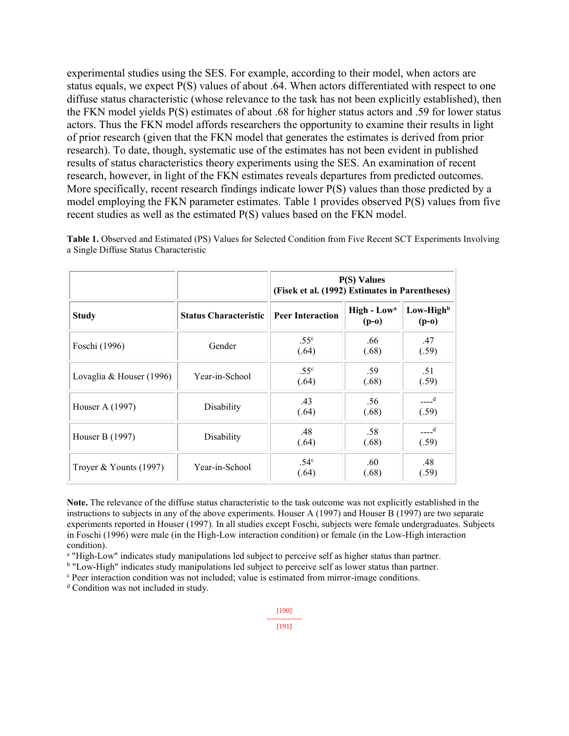experimental studies using the SES. For example, according to their model, when actors are status equals, we expect P(S) values of about .64. When actors differentiated with respect to one diffuse status characteristic (whose relevance to the task has not been explicitly established), then the FKN model yields P(S) estimates of about .68 for higher status actors and .59 for lower status actors. Thus the FKN model affords researchers the opportunity to examine their results in light of prior research (given that the FKN model that generates the estimates is derived from prior research). To date, though, systematic use of the estimates has not been evident in published results of status characteristics theory experiments using the SES. An examination of recent research, however, in light of the FKN estimates reveals departures from predicted outcomes. More specifically, recent research findings indicate lower P(S) values than those predicted by a model employing the FKN parameter estimates. Table 1 provides observed P(S) values from five recent studies as well as the estimated P(S) values based on the FKN model.

|                            |                              | $P(S)$ Values<br>(Fisek et al. (1992) Estimates in Parentheses) |                                    |                                  |
|----------------------------|------------------------------|-----------------------------------------------------------------|------------------------------------|----------------------------------|
| <b>Study</b>               | <b>Status Characteristic</b> | <b>Peer Interaction</b>                                         | High - Low <sup>a</sup><br>$(p-0)$ | Low-High <sup>b</sup><br>$(p-o)$ |
| Foschi (1996)              | Gender                       | .55 <sup>c</sup><br>(.64)                                       | .66<br>(.68)                       | .47<br>(.59)                     |
| Lovaglia & Houser $(1996)$ | Year-in-School               | .55 <sup>c</sup><br>(.64)                                       | .59<br>(.68)                       | .51<br>(.59)                     |
| Houser A (1997)            | Disability                   | .43<br>(.64)                                                    | .56<br>(.68)                       | $---d$<br>(.59)                  |
| Houser B (1997)            | Disability                   | .48<br>(.64)                                                    | .58<br>(.68)                       | $---d$<br>(.59)                  |
| Troyer & Younts $(1997)$   | Year-in-School               | .54 <sup>c</sup><br>(.64)                                       | .60<br>(.68)                       | .48<br>(.59)                     |

**Table 1.** Observed and Estimated (PS) Values for Selected Condition from Five Recent SCT Experiments Involving a Single Diffuse Status Characteristic

**Note.** The relevance of the diffuse status characteristic to the task outcome was not explicitly established in the instructions to subjects in any of the above experiments. Houser A (1997) and Houser B (1997) are two separate experiments reported in Houser (1997). In all studies except Foschi, subjects were female undergraduates. Subjects in Foschi (1996) were male (in the High-Low interaction condition) or female (in the Low-High interaction condition).

<sup>a</sup> "High-Low" indicates study manipulations led subject to perceive self as higher status than partner.

<sup>b</sup> "Low-High" indicates study manipulations led subject to perceive self as lower status than partner.

<sup>c</sup> Peer interaction condition was not included; value is estimated from mirror-image conditions.

<sup>d</sup> Condition was not included in study.

```
[191]
```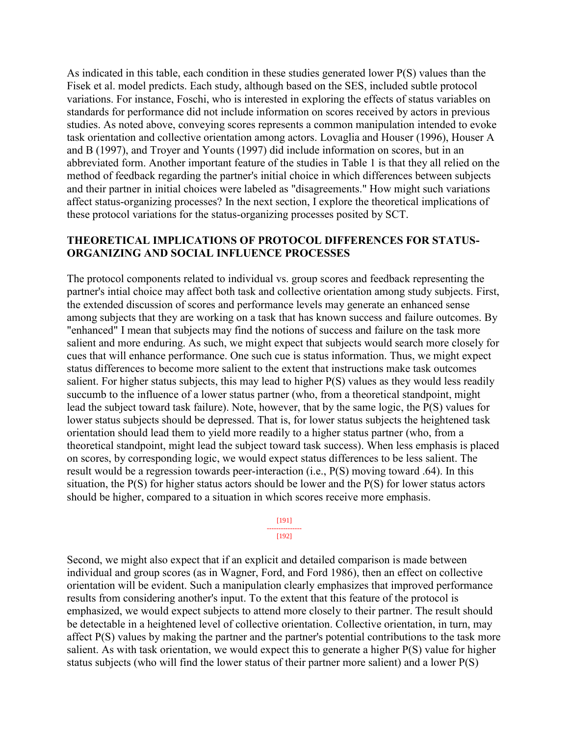As indicated in this table, each condition in these studies generated lower P(S) values than the Fisek et al. model predicts. Each study, although based on the SES, included subtle protocol variations. For instance, Foschi, who is interested in exploring the effects of status variables on standards for performance did not include information on scores received by actors in previous studies. As noted above, conveying scores represents a common manipulation intended to evoke task orientation and collective orientation among actors. Lovaglia and Houser (1996), Houser A and B (1997), and Troyer and Younts (1997) did include information on scores, but in an abbreviated form. Another important feature of the studies in Table 1 is that they all relied on the method of feedback regarding the partner's initial choice in which differences between subjects and their partner in initial choices were labeled as "disagreements." How might such variations affect status-organizing processes? In the next section, I explore the theoretical implications of these protocol variations for the status-organizing processes posited by SCT.

# **THEORETICAL IMPLICATIONS OF PROTOCOL DIFFERENCES FOR STATUS-ORGANIZING AND SOCIAL INFLUENCE PROCESSES**

The protocol components related to individual vs. group scores and feedback representing the partner's intial choice may affect both task and collective orientation among study subjects. First, the extended discussion of scores and performance levels may generate an enhanced sense among subjects that they are working on a task that has known success and failure outcomes. By "enhanced" I mean that subjects may find the notions of success and failure on the task more salient and more enduring. As such, we might expect that subjects would search more closely for cues that will enhance performance. One such cue is status information. Thus, we might expect status differences to become more salient to the extent that instructions make task outcomes salient. For higher status subjects, this may lead to higher P(S) values as they would less readily succumb to the influence of a lower status partner (who, from a theoretical standpoint, might lead the subject toward task failure). Note, however, that by the same logic, the P(S) values for lower status subjects should be depressed. That is, for lower status subjects the heightened task orientation should lead them to yield more readily to a higher status partner (who, from a theoretical standpoint, might lead the subject toward task success). When less emphasis is placed on scores, by corresponding logic, we would expect status differences to be less salient. The result would be a regression towards peer-interaction (i.e., P(S) moving toward .64). In this situation, the P(S) for higher status actors should be lower and the P(S) for lower status actors should be higher, compared to a situation in which scores receive more emphasis.

#### [191] --------------- [192]

Second, we might also expect that if an explicit and detailed comparison is made between individual and group scores (as in Wagner, Ford, and Ford 1986), then an effect on collective orientation will be evident. Such a manipulation clearly emphasizes that improved performance results from considering another's input. To the extent that this feature of the protocol is emphasized, we would expect subjects to attend more closely to their partner. The result should be detectable in a heightened level of collective orientation. Collective orientation, in turn, may affect P(S) values by making the partner and the partner's potential contributions to the task more salient. As with task orientation, we would expect this to generate a higher P(S) value for higher status subjects (who will find the lower status of their partner more salient) and a lower P(S)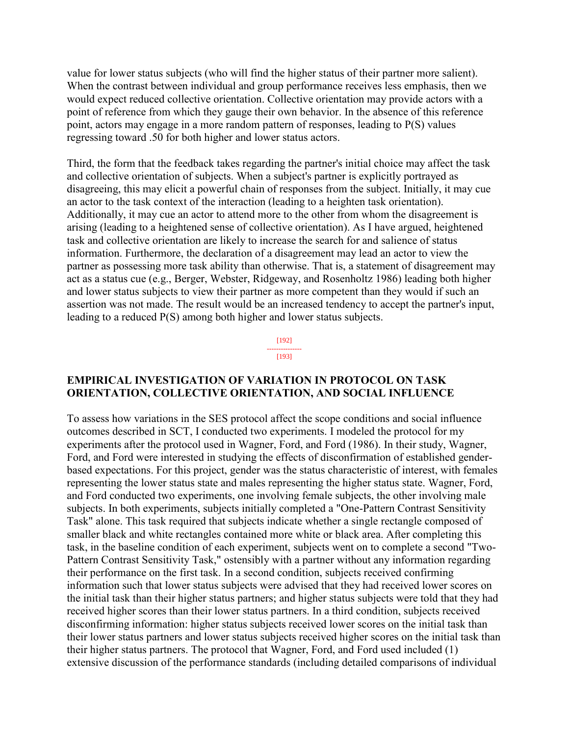value for lower status subjects (who will find the higher status of their partner more salient). When the contrast between individual and group performance receives less emphasis, then we would expect reduced collective orientation. Collective orientation may provide actors with a point of reference from which they gauge their own behavior. In the absence of this reference point, actors may engage in a more random pattern of responses, leading to P(S) values regressing toward .50 for both higher and lower status actors.

Third, the form that the feedback takes regarding the partner's initial choice may affect the task and collective orientation of subjects. When a subject's partner is explicitly portrayed as disagreeing, this may elicit a powerful chain of responses from the subject. Initially, it may cue an actor to the task context of the interaction (leading to a heighten task orientation). Additionally, it may cue an actor to attend more to the other from whom the disagreement is arising (leading to a heightened sense of collective orientation). As I have argued, heightened task and collective orientation are likely to increase the search for and salience of status information. Furthermore, the declaration of a disagreement may lead an actor to view the partner as possessing more task ability than otherwise. That is, a statement of disagreement may act as a status cue (e.g., Berger, Webster, Ridgeway, and Rosenholtz 1986) leading both higher and lower status subjects to view their partner as more competent than they would if such an assertion was not made. The result would be an increased tendency to accept the partner's input, leading to a reduced P(S) among both higher and lower status subjects.

> [192] --------------- [193]

### **EMPIRICAL INVESTIGATION OF VARIATION IN PROTOCOL ON TASK ORIENTATION, COLLECTIVE ORIENTATION, AND SOCIAL INFLUENCE**

To assess how variations in the SES protocol affect the scope conditions and social influence outcomes described in SCT, I conducted two experiments. I modeled the protocol for my experiments after the protocol used in Wagner, Ford, and Ford (1986). In their study, Wagner, Ford, and Ford were interested in studying the effects of disconfirmation of established genderbased expectations. For this project, gender was the status characteristic of interest, with females representing the lower status state and males representing the higher status state. Wagner, Ford, and Ford conducted two experiments, one involving female subjects, the other involving male subjects. In both experiments, subjects initially completed a "One-Pattern Contrast Sensitivity Task" alone. This task required that subjects indicate whether a single rectangle composed of smaller black and white rectangles contained more white or black area. After completing this task, in the baseline condition of each experiment, subjects went on to complete a second "Two-Pattern Contrast Sensitivity Task," ostensibly with a partner without any information regarding their performance on the first task. In a second condition, subjects received confirming information such that lower status subjects were advised that they had received lower scores on the initial task than their higher status partners; and higher status subjects were told that they had received higher scores than their lower status partners. In a third condition, subjects received disconfirming information: higher status subjects received lower scores on the initial task than their lower status partners and lower status subjects received higher scores on the initial task than their higher status partners. The protocol that Wagner, Ford, and Ford used included (1) extensive discussion of the performance standards (including detailed comparisons of individual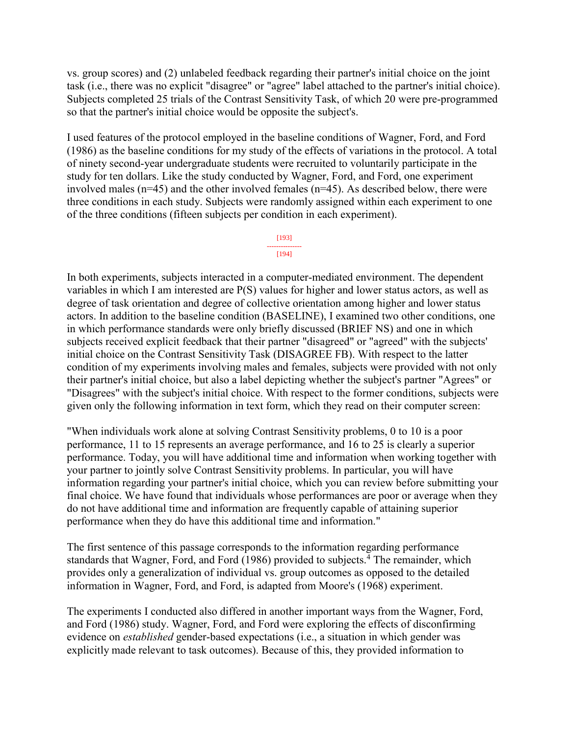vs. group scores) and (2) unlabeled feedback regarding their partner's initial choice on the joint task (i.e., there was no explicit "disagree" or "agree" label attached to the partner's initial choice). Subjects completed 25 trials of the Contrast Sensitivity Task, of which 20 were pre-programmed so that the partner's initial choice would be opposite the subject's.

I used features of the protocol employed in the baseline conditions of Wagner, Ford, and Ford (1986) as the baseline conditions for my study of the effects of variations in the protocol. A total of ninety second-year undergraduate students were recruited to voluntarily participate in the study for ten dollars. Like the study conducted by Wagner, Ford, and Ford, one experiment involved males (n=45) and the other involved females (n=45). As described below, there were three conditions in each study. Subjects were randomly assigned within each experiment to one of the three conditions (fifteen subjects per condition in each experiment).

#### [193] ---------------

### $[194]$

In both experiments, subjects interacted in a computer-mediated environment. The dependent variables in which I am interested are P(S) values for higher and lower status actors, as well as degree of task orientation and degree of collective orientation among higher and lower status actors. In addition to the baseline condition (BASELINE), I examined two other conditions, one in which performance standards were only briefly discussed (BRIEF NS) and one in which subjects received explicit feedback that their partner "disagreed" or "agreed" with the subjects' initial choice on the Contrast Sensitivity Task (DISAGREE FB). With respect to the latter condition of my experiments involving males and females, subjects were provided with not only their partner's initial choice, but also a label depicting whether the subject's partner "Agrees" or "Disagrees" with the subject's initial choice. With respect to the former conditions, subjects were given only the following information in text form, which they read on their computer screen:

"When individuals work alone at solving Contrast Sensitivity problems, 0 to 10 is a poor performance, 11 to 15 represents an average performance, and 16 to 25 is clearly a superior performance. Today, you will have additional time and information when working together with your partner to jointly solve Contrast Sensitivity problems. In particular, you will have information regarding your partner's initial choice, which you can review before submitting your final choice. We have found that individuals whose performances are poor or average when they do not have additional time and information are frequently capable of attaining superior performance when they do have this additional time and information."

The first sentence of this passage corresponds to the information regarding performance standards that Wagner, Ford, and Ford  $(1986)$  provided to subjects.<sup>4</sup> The remainder, which provides only a generalization of individual vs. group outcomes as opposed to the detailed information in Wagner, Ford, and Ford, is adapted from Moore's (1968) experiment.

The experiments I conducted also differed in another important ways from the Wagner, Ford, and Ford (1986) study. Wagner, Ford, and Ford were exploring the effects of disconfirming evidence on *established* gender-based expectations (i.e., a situation in which gender was explicitly made relevant to task outcomes). Because of this, they provided information to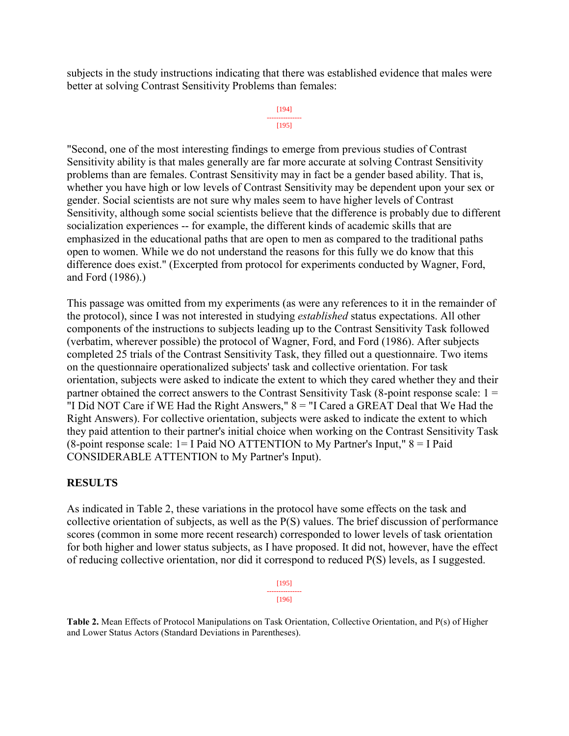subjects in the study instructions indicating that there was established evidence that males were better at solving Contrast Sensitivity Problems than females:

#### [194] --------------- [195]

"Second, one of the most interesting findings to emerge from previous studies of Contrast Sensitivity ability is that males generally are far more accurate at solving Contrast Sensitivity problems than are females. Contrast Sensitivity may in fact be a gender based ability. That is, whether you have high or low levels of Contrast Sensitivity may be dependent upon your sex or gender. Social scientists are not sure why males seem to have higher levels of Contrast Sensitivity, although some social scientists believe that the difference is probably due to different socialization experiences -- for example, the different kinds of academic skills that are emphasized in the educational paths that are open to men as compared to the traditional paths open to women. While we do not understand the reasons for this fully we do know that this difference does exist." (Excerpted from protocol for experiments conducted by Wagner, Ford, and Ford (1986).)

This passage was omitted from my experiments (as were any references to it in the remainder of the protocol), since I was not interested in studying *established* status expectations. All other components of the instructions to subjects leading up to the Contrast Sensitivity Task followed (verbatim, wherever possible) the protocol of Wagner, Ford, and Ford (1986). After subjects completed 25 trials of the Contrast Sensitivity Task, they filled out a questionnaire. Two items on the questionnaire operationalized subjects' task and collective orientation. For task orientation, subjects were asked to indicate the extent to which they cared whether they and their partner obtained the correct answers to the Contrast Sensitivity Task (8-point response scale: 1 = "I Did NOT Care if WE Had the Right Answers,"  $8 =$  "I Cared a GREAT Deal that We Had the Right Answers). For collective orientation, subjects were asked to indicate the extent to which they paid attention to their partner's initial choice when working on the Contrast Sensitivity Task (8-point response scale: 1= I Paid NO ATTENTION to My Partner's Input," 8 = I Paid CONSIDERABLE ATTENTION to My Partner's Input).

# **RESULTS**

As indicated in Table 2, these variations in the protocol have some effects on the task and collective orientation of subjects, as well as the P(S) values. The brief discussion of performance scores (common in some more recent research) corresponded to lower levels of task orientation for both higher and lower status subjects, as I have proposed. It did not, however, have the effect of reducing collective orientation, nor did it correspond to reduced P(S) levels, as I suggested.

| 11951 |
|-------|
| [196] |

**Table 2.** Mean Effects of Protocol Manipulations on Task Orientation, Collective Orientation, and P(s) of Higher and Lower Status Actors (Standard Deviations in Parentheses).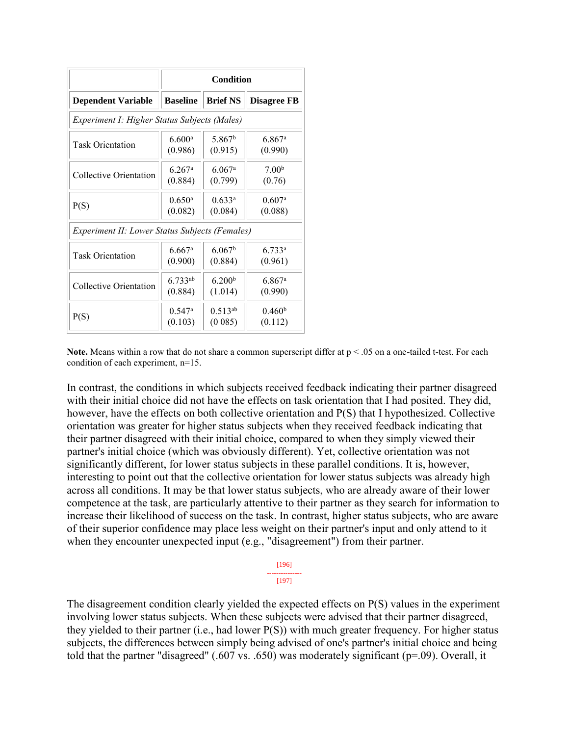|                                                       | Condition            |                      |                      |  |  |  |  |
|-------------------------------------------------------|----------------------|----------------------|----------------------|--|--|--|--|
| <b>Dependent Variable</b>                             | <b>Baseline</b>      | <b>Brief NS</b>      | <b>Disagree FB</b>   |  |  |  |  |
| Experiment I: Higher Status Subjects (Males)          |                      |                      |                      |  |  |  |  |
| <b>Task Orientation</b>                               | 6.600 <sup>a</sup>   | 5.867 <sup>b</sup>   | $6.867$ <sup>a</sup> |  |  |  |  |
|                                                       | (0.986)              | (0.915)              | (0.990)              |  |  |  |  |
| Collective Orientation                                | $6.267$ <sup>a</sup> | $6.067$ <sup>a</sup> | 7.00 <sup>b</sup>    |  |  |  |  |
|                                                       | (0.884)              | (0.799)              | (0.76)               |  |  |  |  |
| P(S)                                                  | $0.650$ <sup>a</sup> | $0.633^a$            | $0.607$ <sup>a</sup> |  |  |  |  |
|                                                       | (0.082)              | (0.084)              | (0.088)              |  |  |  |  |
| <b>Experiment II: Lower Status Subjects (Females)</b> |                      |                      |                      |  |  |  |  |
| <b>Task Orientation</b>                               | 6.667a               | 6.067 <sup>b</sup>   | $6.733^a$            |  |  |  |  |
|                                                       | (0.900)              | (0.884)              | (0.961)              |  |  |  |  |
| Collective Orientation                                | $6.733^{ab}$         | 6.200 <sup>b</sup>   | $6.867$ <sup>a</sup> |  |  |  |  |
|                                                       | (0.884)              | (1.014)              | (0.990)              |  |  |  |  |
| P(S)                                                  | $0.547$ <sup>a</sup> | $0.513^{ab}$         | 0.460 <sup>b</sup>   |  |  |  |  |
|                                                       | (0.103)              | (0.085)              | (0.112)              |  |  |  |  |

**Note.** Means within a row that do not share a common superscript differ at  $p < .05$  on a one-tailed t-test. For each condition of each experiment, n=15.

In contrast, the conditions in which subjects received feedback indicating their partner disagreed with their initial choice did not have the effects on task orientation that I had posited. They did, however, have the effects on both collective orientation and P(S) that I hypothesized. Collective orientation was greater for higher status subjects when they received feedback indicating that their partner disagreed with their initial choice, compared to when they simply viewed their partner's initial choice (which was obviously different). Yet, collective orientation was not significantly different, for lower status subjects in these parallel conditions. It is, however, interesting to point out that the collective orientation for lower status subjects was already high across all conditions. It may be that lower status subjects, who are already aware of their lower competence at the task, are particularly attentive to their partner as they search for information to increase their likelihood of success on the task. In contrast, higher status subjects, who are aware of their superior confidence may place less weight on their partner's input and only attend to it when they encounter unexpected input (e.g., "disagreement") from their partner.

| r. |  |
|----|--|

The disagreement condition clearly yielded the expected effects on P(S) values in the experiment involving lower status subjects. When these subjects were advised that their partner disagreed, they yielded to their partner (i.e., had lower P(S)) with much greater frequency. For higher status subjects, the differences between simply being advised of one's partner's initial choice and being told that the partner "disagreed" (.607 vs. .650) was moderately significant (p=.09). Overall, it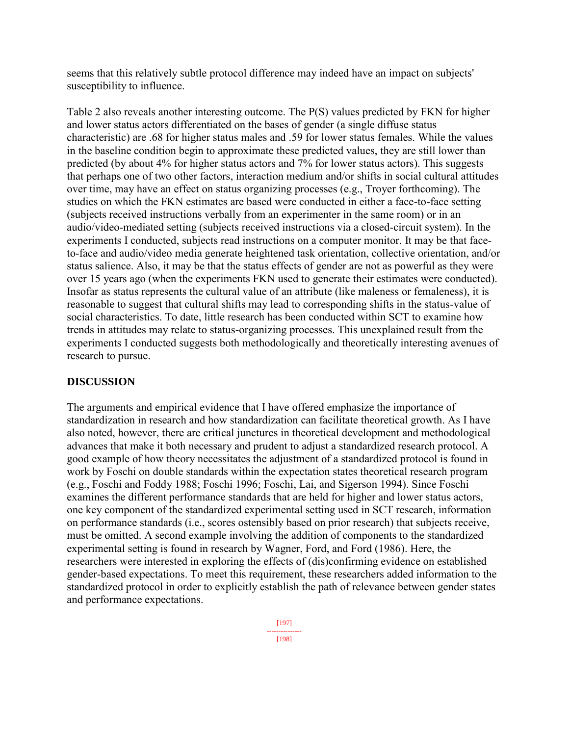seems that this relatively subtle protocol difference may indeed have an impact on subjects' susceptibility to influence.

Table 2 also reveals another interesting outcome. The P(S) values predicted by FKN for higher and lower status actors differentiated on the bases of gender (a single diffuse status characteristic) are .68 for higher status males and .59 for lower status females. While the values in the baseline condition begin to approximate these predicted values, they are still lower than predicted (by about 4% for higher status actors and 7% for lower status actors). This suggests that perhaps one of two other factors, interaction medium and/or shifts in social cultural attitudes over time, may have an effect on status organizing processes (e.g., Troyer forthcoming). The studies on which the FKN estimates are based were conducted in either a face-to-face setting (subjects received instructions verbally from an experimenter in the same room) or in an audio/video-mediated setting (subjects received instructions via a closed-circuit system). In the experiments I conducted, subjects read instructions on a computer monitor. It may be that faceto-face and audio/video media generate heightened task orientation, collective orientation, and/or status salience. Also, it may be that the status effects of gender are not as powerful as they were over 15 years ago (when the experiments FKN used to generate their estimates were conducted). Insofar as status represents the cultural value of an attribute (like maleness or femaleness), it is reasonable to suggest that cultural shifts may lead to corresponding shifts in the status-value of social characteristics. To date, little research has been conducted within SCT to examine how trends in attitudes may relate to status-organizing processes. This unexplained result from the experiments I conducted suggests both methodologically and theoretically interesting avenues of research to pursue.

# **DISCUSSION**

The arguments and empirical evidence that I have offered emphasize the importance of standardization in research and how standardization can facilitate theoretical growth. As I have also noted, however, there are critical junctures in theoretical development and methodological advances that make it both necessary and prudent to adjust a standardized research protocol. A good example of how theory necessitates the adjustment of a standardized protocol is found in work by Foschi on double standards within the expectation states theoretical research program (e.g., Foschi and Foddy 1988; Foschi 1996; Foschi, Lai, and Sigerson 1994). Since Foschi examines the different performance standards that are held for higher and lower status actors, one key component of the standardized experimental setting used in SCT research, information on performance standards (i.e., scores ostensibly based on prior research) that subjects receive, must be omitted. A second example involving the addition of components to the standardized experimental setting is found in research by Wagner, Ford, and Ford (1986). Here, the researchers were interested in exploring the effects of (dis)confirming evidence on established gender-based expectations. To meet this requirement, these researchers added information to the standardized protocol in order to explicitly establish the path of relevance between gender states and performance expectations.

> [197] --------------- [198]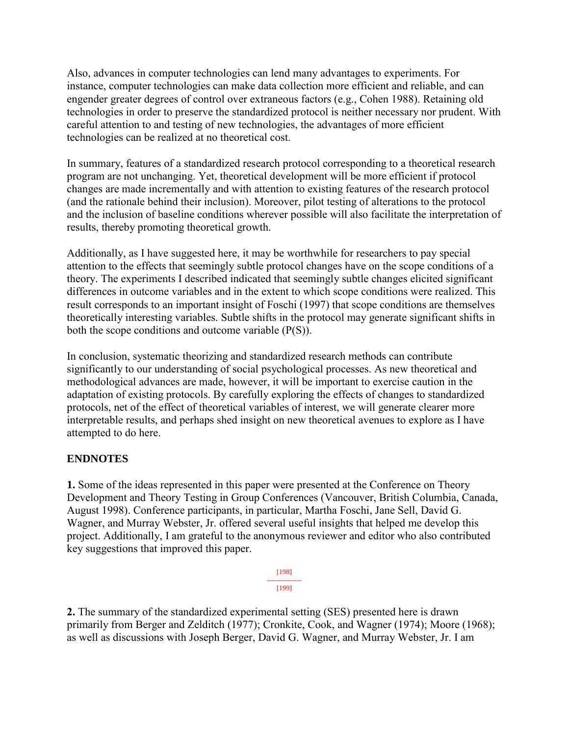Also, advances in computer technologies can lend many advantages to experiments. For instance, computer technologies can make data collection more efficient and reliable, and can engender greater degrees of control over extraneous factors (e.g., Cohen 1988). Retaining old technologies in order to preserve the standardized protocol is neither necessary nor prudent. With careful attention to and testing of new technologies, the advantages of more efficient technologies can be realized at no theoretical cost.

In summary, features of a standardized research protocol corresponding to a theoretical research program are not unchanging. Yet, theoretical development will be more efficient if protocol changes are made incrementally and with attention to existing features of the research protocol (and the rationale behind their inclusion). Moreover, pilot testing of alterations to the protocol and the inclusion of baseline conditions wherever possible will also facilitate the interpretation of results, thereby promoting theoretical growth.

Additionally, as I have suggested here, it may be worthwhile for researchers to pay special attention to the effects that seemingly subtle protocol changes have on the scope conditions of a theory. The experiments I described indicated that seemingly subtle changes elicited significant differences in outcome variables and in the extent to which scope conditions were realized. This result corresponds to an important insight of Foschi (1997) that scope conditions are themselves theoretically interesting variables. Subtle shifts in the protocol may generate significant shifts in both the scope conditions and outcome variable (P(S)).

In conclusion, systematic theorizing and standardized research methods can contribute significantly to our understanding of social psychological processes. As new theoretical and methodological advances are made, however, it will be important to exercise caution in the adaptation of existing protocols. By carefully exploring the effects of changes to standardized protocols, net of the effect of theoretical variables of interest, we will generate clearer more interpretable results, and perhaps shed insight on new theoretical avenues to explore as I have attempted to do here.

# **ENDNOTES**

**1.** Some of the ideas represented in this paper were presented at the Conference on Theory Development and Theory Testing in Group Conferences (Vancouver, British Columbia, Canada, August 1998). Conference participants, in particular, Martha Foschi, Jane Sell, David G. Wagner, and Murray Webster, Jr. offered several useful insights that helped me develop this project. Additionally, I am grateful to the anonymous reviewer and editor who also contributed key suggestions that improved this paper.

> [198] --------------- [199]

**2.** The summary of the standardized experimental setting (SES) presented here is drawn primarily from Berger and Zelditch (1977); Cronkite, Cook, and Wagner (1974); Moore (1968); as well as discussions with Joseph Berger, David G. Wagner, and Murray Webster, Jr. I am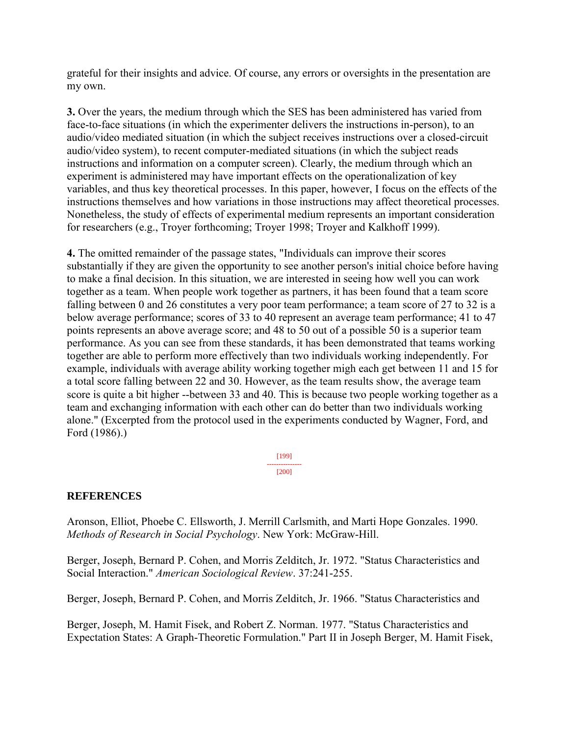grateful for their insights and advice. Of course, any errors or oversights in the presentation are my own.

**3.** Over the years, the medium through which the SES has been administered has varied from face-to-face situations (in which the experimenter delivers the instructions in-person), to an audio/video mediated situation (in which the subject receives instructions over a closed-circuit audio/video system), to recent computer-mediated situations (in which the subject reads instructions and information on a computer screen). Clearly, the medium through which an experiment is administered may have important effects on the operationalization of key variables, and thus key theoretical processes. In this paper, however, I focus on the effects of the instructions themselves and how variations in those instructions may affect theoretical processes. Nonetheless, the study of effects of experimental medium represents an important consideration for researchers (e.g., Troyer forthcoming; Troyer 1998; Troyer and Kalkhoff 1999).

**4.** The omitted remainder of the passage states, "Individuals can improve their scores substantially if they are given the opportunity to see another person's initial choice before having to make a final decision. In this situation, we are interested in seeing how well you can work together as a team. When people work together as partners, it has been found that a team score falling between 0 and 26 constitutes a very poor team performance; a team score of 27 to 32 is a below average performance; scores of 33 to 40 represent an average team performance; 41 to 47 points represents an above average score; and 48 to 50 out of a possible 50 is a superior team performance. As you can see from these standards, it has been demonstrated that teams working together are able to perform more effectively than two individuals working independently. For example, individuals with average ability working together migh each get between 11 and 15 for a total score falling between 22 and 30. However, as the team results show, the average team score is quite a bit higher --between 33 and 40. This is because two people working together as a team and exchanging information with each other can do better than two individuals working alone." (Excerpted from the protocol used in the experiments conducted by Wagner, Ford, and Ford (1986).)

> [199] --------------- [200]

# **REFERENCES**

Aronson, Elliot, Phoebe C. Ellsworth, J. Merrill Carlsmith, and Marti Hope Gonzales. 1990. *Methods of Research in Social Psychology*. New York: McGraw-Hill.

Berger, Joseph, Bernard P. Cohen, and Morris Zelditch, Jr. 1972. "Status Characteristics and Social Interaction." *American Sociological Review*. 37:241-255.

Berger, Joseph, Bernard P. Cohen, and Morris Zelditch, Jr. 1966. "Status Characteristics and

Berger, Joseph, M. Hamit Fisek, and Robert Z. Norman. 1977. "Status Characteristics and Expectation States: A Graph-Theoretic Formulation." Part II in Joseph Berger, M. Hamit Fisek,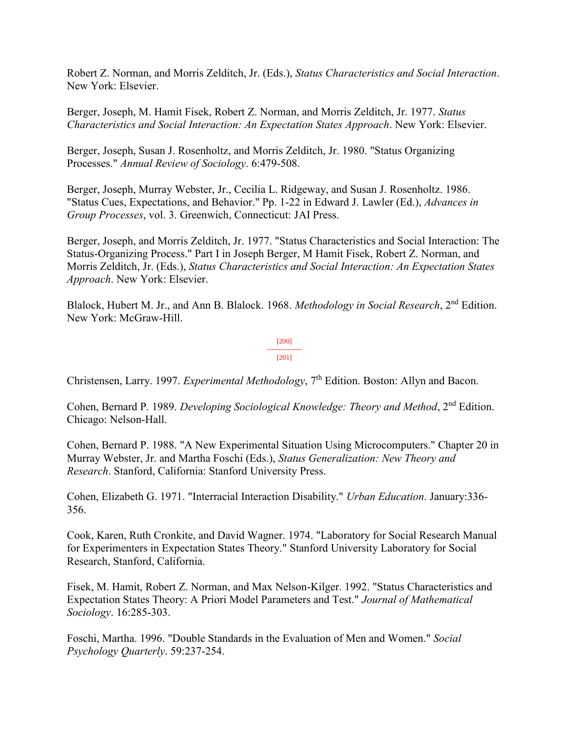Robert Z. Norman, and Morris Zelditch, Jr. (Eds.), *Status Characteristics and Social Interaction*. New York: Elsevier.

Berger, Joseph, M. Hamit Fisek, Robert Z. Norman, and Morris Zelditch, Jr. 1977. *Status Characteristics and Social Interaction: An Expectation States Approach*. New York: Elsevier.

Berger, Joseph, Susan J. Rosenholtz, and Morris Zelditch, Jr. 1980. "Status Organizing Processes." *Annual Review of Sociology*. 6:479-508.

Berger, Joseph, Murray Webster, Jr., Cecilia L. Ridgeway, and Susan J. Rosenholtz. 1986. "Status Cues, Expectations, and Behavior." Pp. 1-22 in Edward J. Lawler (Ed.), *Advances in Group Processes*, vol. 3. Greenwich, Connecticut: JAI Press.

Berger, Joseph, and Morris Zelditch, Jr. 1977. "Status Characteristics and Social Interaction: The Status-Organizing Process." Part I in Joseph Berger, M Hamit Fisek, Robert Z. Norman, and Morris Zelditch, Jr. (Eds.), *Status Characteristics and Social Interaction: An Expectation States Approach*. New York: Elsevier.

Blalock, Hubert M. Jr., and Ann B. Blalock. 1968. *Methodology in Social Research*, 2nd Edition. New York: McGraw-Hill.

> [200] --------------- [201]

Christensen, Larry. 1997. *Experimental Methodology*, 7<sup>th</sup> Edition. Boston: Allyn and Bacon.

Cohen, Bernard P. 1989. *Developing Sociological Knowledge: Theory and Method*, 2nd Edition. Chicago: Nelson-Hall.

Cohen, Bernard P. 1988. "A New Experimental Situation Using Microcomputers." Chapter 20 in Murray Webster, Jr. and Martha Foschi (Eds.), *Status Generalization: New Theory and Research*. Stanford, California: Stanford University Press.

Cohen, Elizabeth G. 1971. "Interracial Interaction Disability." *Urban Education*. January:336- 356.

Cook, Karen, Ruth Cronkite, and David Wagner. 1974. "Laboratory for Social Research Manual for Experimenters in Expectation States Theory." Stanford University Laboratory for Social Research, Stanford, California.

Fisek, M. Hamit, Robert Z. Norman, and Max Nelson-Kilger. 1992. "Status Characteristics and Expectation States Theory: A Priori Model Parameters and Test." *Journal of Mathematical Sociology*. 16:285-303.

Foschi, Martha. 1996. "Double Standards in the Evaluation of Men and Women." *Social Psychology Quarterly*. 59:237-254.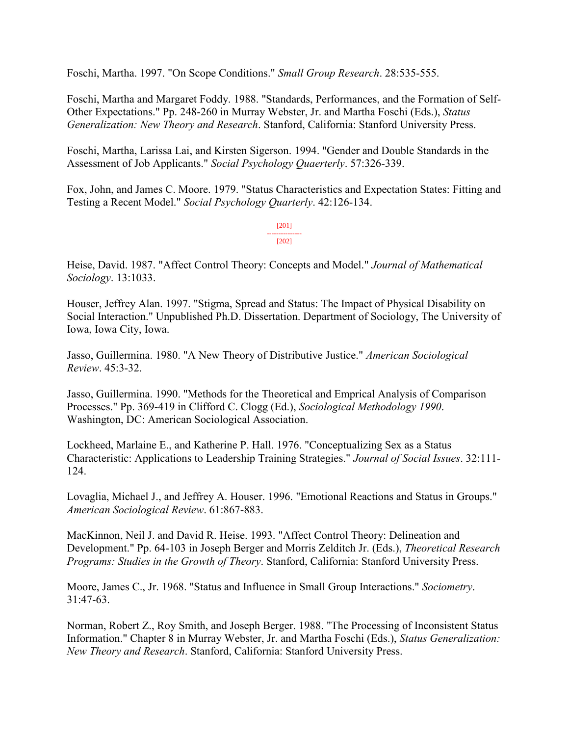Foschi, Martha. 1997. "On Scope Conditions." *Small Group Research*. 28:535-555.

Foschi, Martha and Margaret Foddy. 1988. "Standards, Performances, and the Formation of Self-Other Expectations." Pp. 248-260 in Murray Webster, Jr. and Martha Foschi (Eds.), *Status Generalization: New Theory and Research*. Stanford, California: Stanford University Press.

Foschi, Martha, Larissa Lai, and Kirsten Sigerson. 1994. "Gender and Double Standards in the Assessment of Job Applicants." *Social Psychology Quaerterly*. 57:326-339.

Fox, John, and James C. Moore. 1979. "Status Characteristics and Expectation States: Fitting and Testing a Recent Model." *Social Psychology Quarterly*. 42:126-134.

> [201] --------------- [202]

Heise, David. 1987. "Affect Control Theory: Concepts and Model." *Journal of Mathematical Sociology*. 13:1033.

Houser, Jeffrey Alan. 1997. "Stigma, Spread and Status: The Impact of Physical Disability on Social Interaction." Unpublished Ph.D. Dissertation. Department of Sociology, The University of Iowa, Iowa City, Iowa.

Jasso, Guillermina. 1980. "A New Theory of Distributive Justice." *American Sociological Review*. 45:3-32.

Jasso, Guillermina. 1990. "Methods for the Theoretical and Emprical Analysis of Comparison Processes." Pp. 369-419 in Clifford C. Clogg (Ed.), *Sociological Methodology 1990*. Washington, DC: American Sociological Association.

Lockheed, Marlaine E., and Katherine P. Hall. 1976. "Conceptualizing Sex as a Status Characteristic: Applications to Leadership Training Strategies." *Journal of Social Issues*. 32:111- 124.

Lovaglia, Michael J., and Jeffrey A. Houser. 1996. "Emotional Reactions and Status in Groups." *American Sociological Review*. 61:867-883.

MacKinnon, Neil J. and David R. Heise. 1993. "Affect Control Theory: Delineation and Development." Pp. 64-103 in Joseph Berger and Morris Zelditch Jr. (Eds.), *Theoretical Research Programs: Studies in the Growth of Theory*. Stanford, California: Stanford University Press.

Moore, James C., Jr. 1968. "Status and Influence in Small Group Interactions." *Sociometry*. 31:47-63.

Norman, Robert Z., Roy Smith, and Joseph Berger. 1988. "The Processing of Inconsistent Status Information." Chapter 8 in Murray Webster, Jr. and Martha Foschi (Eds.), *Status Generalization: New Theory and Research*. Stanford, California: Stanford University Press.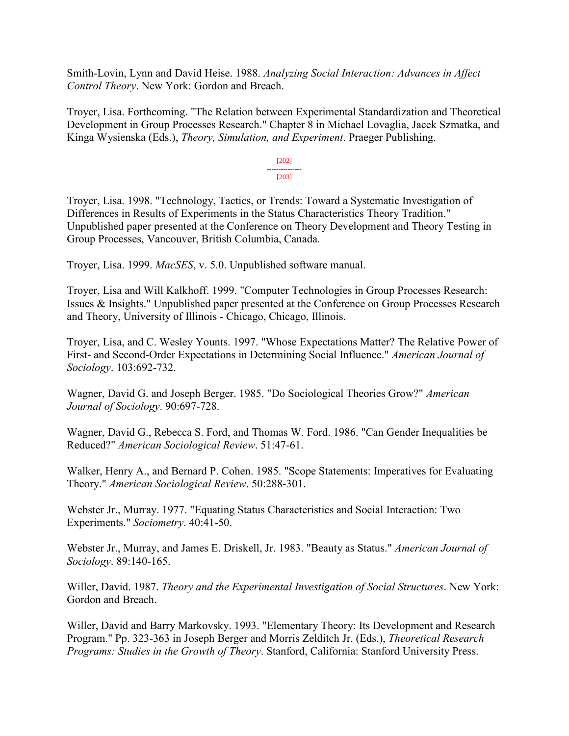Smith-Lovin, Lynn and David Heise. 1988. *Analyzing Social Interaction: Advances in Affect Control Theory*. New York: Gordon and Breach.

Troyer, Lisa. Forthcoming. "The Relation between Experimental Standardization and Theoretical Development in Group Processes Research." Chapter 8 in Michael Lovaglia, Jacek Szmatka, and Kinga Wysienska (Eds.), *Theory, Simulation, and Experiment*. Praeger Publishing.

> [202] --------------- [203]

Troyer, Lisa. 1998. "Technology, Tactics, or Trends: Toward a Systematic Investigation of Differences in Results of Experiments in the Status Characteristics Theory Tradition." Unpublished paper presented at the Conference on Theory Development and Theory Testing in Group Processes, Vancouver, British Columbia, Canada.

Troyer, Lisa. 1999. *MacSES*, v. 5.0. Unpublished software manual.

Troyer, Lisa and Will Kalkhoff. 1999. "Computer Technologies in Group Processes Research: Issues & Insights." Unpublished paper presented at the Conference on Group Processes Research and Theory, University of Illinois - Chicago, Chicago, Illinois.

Troyer, Lisa, and C. Wesley Younts. 1997. "Whose Expectations Matter? The Relative Power of First- and Second-Order Expectations in Determining Social Influence." *American Journal of Sociology*. 103:692-732.

Wagner, David G. and Joseph Berger. 1985. "Do Sociological Theories Grow?" *American Journal of Sociology*. 90:697-728.

Wagner, David G., Rebecca S. Ford, and Thomas W. Ford. 1986. "Can Gender Inequalities be Reduced?" *American Sociological Review*. 51:47-61.

Walker, Henry A., and Bernard P. Cohen. 1985. "Scope Statements: Imperatives for Evaluating Theory." *American Sociological Review*. 50:288-301.

Webster Jr., Murray. 1977. "Equating Status Characteristics and Social Interaction: Two Experiments." *Sociometry*. 40:41-50.

Webster Jr., Murray, and James E. Driskell, Jr. 1983. "Beauty as Status." *American Journal of Sociology*. 89:140-165.

Willer, David. 1987. *Theory and the Experimental Investigation of Social Structures*. New York: Gordon and Breach.

Willer, David and Barry Markovsky. 1993. "Elementary Theory: Its Development and Research Program." Pp. 323-363 in Joseph Berger and Morris Zelditch Jr. (Eds.), *Theoretical Research Programs: Studies in the Growth of Theory*. Stanford, California: Stanford University Press.